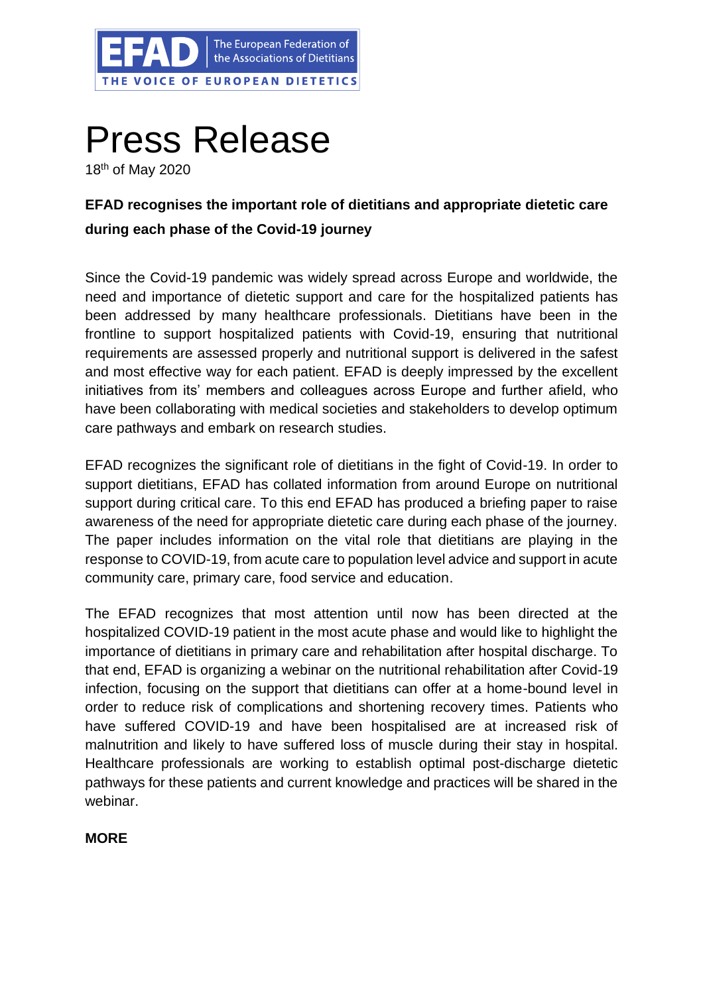

# Press Release

18th of May 2020

# **EFAD recognises the important role of dietitians and appropriate dietetic care during each phase of the Covid-19 journey**

Since the Covid-19 pandemic was widely spread across Europe and worldwide, the need and importance of dietetic support and care for the hospitalized patients has been addressed by many healthcare professionals. Dietitians have been in the frontline to support hospitalized patients with Covid-19, ensuring that nutritional requirements are assessed properly and nutritional support is delivered in the safest and most effective way for each patient. EFAD is deeply impressed by the excellent initiatives from its' members and colleagues across Europe and further afield, who have been collaborating with medical societies and stakeholders to develop optimum care pathways and embark on research studies.

EFAD recognizes the significant role of dietitians in the fight of Covid-19. In order to support dietitians, EFAD has collated information from around Europe on nutritional support during critical care. To this end EFAD has produced a briefing paper to raise awareness of the need for appropriate dietetic care during each phase of the journey. The paper includes information on the vital role that dietitians are playing in the response to COVID-19, from acute care to population level advice and support in acute community care, primary care, food service and education.

The EFAD recognizes that most attention until now has been directed at the hospitalized COVID-19 patient in the most acute phase and would like to highlight the importance of dietitians in primary care and rehabilitation after hospital discharge. To that end, EFAD is organizing a webinar on the nutritional rehabilitation after Covid-19 infection, focusing on the support that dietitians can offer at a home-bound level in order to reduce risk of complications and shortening recovery times. Patients who have suffered COVID-19 and have been hospitalised are at increased risk of malnutrition and likely to have suffered loss of muscle during their stay in hospital. Healthcare professionals are working to establish optimal post-discharge dietetic pathways for these patients and current knowledge and practices will be shared in the webinar.

### **MORE**